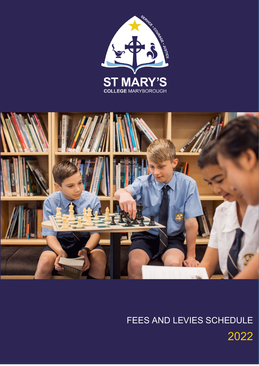



# FEES AND LEVIES SCHEDULE 2022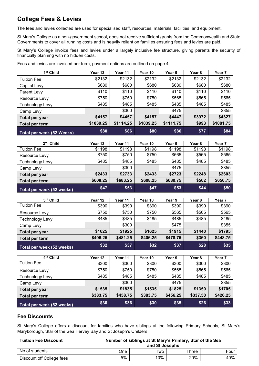# **College Fees & Levies**

The fees and levies collected are used for specialised staff, resources, materials, facilities, and equipment.

St Mary's College as a non-government school, does not receive sufficient grants from the Commonwealth and State Governments to cover all running costs and is heavily reliant on families ensuring fees and levies are paid.

St Mary's College invoice fees and levies under a largely inclusive fee structure, giving parents the security of financially planning with no hidden costs.

Fees and levies are invoiced per term, payment options are outlined on page 4.

| 1 <sup>st</sup> Child     | Year 12   | Year 11   | Year 10   | Year 9    | Year 8 | Year 7    |
|---------------------------|-----------|-----------|-----------|-----------|--------|-----------|
| <b>Tuition Fee</b>        | \$2132    | \$2132    | \$2132    | \$2132    | \$2132 | \$2132    |
| Capital Levy              | \$680     | \$680     | \$680     | \$680     | \$680  | \$680     |
| Parent Levy               | \$110     | \$110     | \$110     | \$110     | \$110  | \$110     |
| Resource Levy             | \$750     | \$750     | \$750     | \$565     | \$565  | \$565     |
| <b>Technology Levy</b>    | \$485     | \$485     | \$485     | \$485     | \$485  | \$485     |
| Camp Levy                 |           | \$300     |           | \$475     |        | \$355     |
| Total per year            | \$4157    | \$4457    | \$4157    | \$4447    | \$3972 | \$4327    |
| Total per term            | \$1039.25 | \$1114.25 | \$1039.25 | \$1111.75 | \$993  | \$1081.75 |
| Total per week (52 Weeks) | \$80      | \$86      | \$80      | \$86      | \$77   | \$84      |

| 2 <sup>nd</sup> Child     | Year 12  | Year 11  | Year 10  | Year 9   | Year 8 | Year <sub>7</sub> |
|---------------------------|----------|----------|----------|----------|--------|-------------------|
| <b>Tuition Fee</b>        | \$1198   | \$1198   | \$1198   | \$1198   | \$1198 | \$1198            |
| Resource Levy             | \$750    | \$750    | \$750    | \$565    | \$565  | \$565             |
| Technology Levy           | \$485    | \$485    | \$485    | \$485    | \$485  | \$485             |
| Camp Levy                 |          | \$300    |          | \$475    |        | \$355             |
| <b>Total per year</b>     | \$2433   | \$2733   | \$2433   | \$2723   | \$2248 | \$2603            |
| Total per term            | \$608.25 | \$683.25 | \$608.25 | \$680.75 | \$562  | \$650.75          |
| Total per week (52 weeks) | \$47     | \$53     | \$47     | \$53     | \$44   | \$50              |

| 3rd Child                 | Year 12  | Year 11  | Year 10  | Year 9   | Year 8 | Year 7   |
|---------------------------|----------|----------|----------|----------|--------|----------|
| <b>Tuition Fee</b>        | \$390    | \$390    | \$390    | \$390    | \$390  | \$390    |
| Resource Levy             | \$750    | \$750    | \$750    | \$565    | \$565  | \$565    |
| <b>Technology Levy</b>    | \$485    | \$485    | \$485    | \$485    | \$485  | \$485    |
| Camp Levy                 |          | \$300    |          | \$475    |        | \$355    |
| Total per year            | \$1625   | \$1925   | \$1625   | \$1915   | \$1440 | \$1795   |
| Total per term            | \$406.25 | \$481.25 | \$406.25 | \$478.75 | \$360  | \$448.75 |
| Total per week (52 weeks) | \$32     | \$37     | \$32     | \$37     | \$28   | \$35     |

| 4 <sup>th</sup> Child     | Year 12  | Year 11  | Year 10  | Year 9   | Year 8   | Year 7   |
|---------------------------|----------|----------|----------|----------|----------|----------|
| <b>Tuition Fee</b>        | \$300    | \$300    | \$300    | \$300    | \$300    | \$300    |
| Resource Levy             | \$750    | \$750    | \$750    | \$565    | \$565    | \$565    |
| <b>Technology Levy</b>    | \$485    | \$485    | \$485    | \$485    | \$485    | \$485    |
| Camp Levy                 |          | \$300    |          | \$475    |          | \$355    |
| Total per year            | \$1535   | \$1835   | \$1535   | \$1825   | \$1350   | \$1705   |
| Total per term            | \$383.75 | \$458.75 | \$383.75 | \$456.25 | \$337.50 | \$426.25 |
| Total per week (52 weeks) | \$30     | \$36     | \$30     | \$35     | \$26     | \$33     |

#### **Fee Discounts**

St Mary's College offers a discount for families who have siblings at the following Primary Schools, St Mary's Maryborough, Star of the Sea Hervey Bay and St Joseph's Childers.

| <b>Tuition Fee Discount</b> | Number of siblings at St Mary's Primary, Star of the Sea<br>and St Josephs |     |       |      |  |
|-----------------------------|----------------------------------------------------------------------------|-----|-------|------|--|
| No of students              | One.                                                                       | Two | Three | Four |  |
| Discount off College fees   | 5%                                                                         | 10% | 20%   | 40%  |  |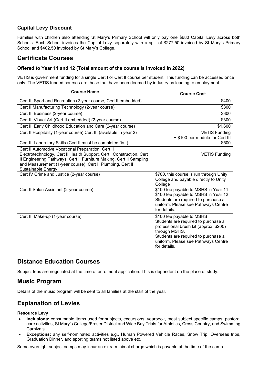### **Capital Levy Discount**

Families with children also attending St Mary's Primary School will only pay one \$680 Capital Levy across both Schools. Each School invoices the Capital Levy separately with a split of \$277.50 invoiced by St Mary's Primary School and \$402.50 invoiced by St Mary's College.

## **Certificate Courses**

#### **Offered to Year 11 and 12 (Total amount of the course is invoiced in 2022)**

VETIS is government funding for a single Cert I or Cert II course per student. This funding can be accessed once only. The VETIS funded courses are those that have been deemed by industry as leading to employment.

| <b>Course Name</b>                                                                                                                                                                                                                                                                    | <b>Course Cost</b>                                                                                                                                                                                                        |
|---------------------------------------------------------------------------------------------------------------------------------------------------------------------------------------------------------------------------------------------------------------------------------------|---------------------------------------------------------------------------------------------------------------------------------------------------------------------------------------------------------------------------|
| Cert III Sport and Recreation (2-year course, Cert II embedded)                                                                                                                                                                                                                       | \$400                                                                                                                                                                                                                     |
| Cert II Manufacturing Technology (2-year course)                                                                                                                                                                                                                                      | \$300                                                                                                                                                                                                                     |
| Cert III Business (2-year course)                                                                                                                                                                                                                                                     | \$300                                                                                                                                                                                                                     |
| Cert III Visual Art (Cert II embedded) (2-year course)                                                                                                                                                                                                                                | \$300                                                                                                                                                                                                                     |
| Cert III Early Childhood Education and Care (2-year course)                                                                                                                                                                                                                           | \$1,600                                                                                                                                                                                                                   |
| Cert II Hospitality (1-year course) Cert III (available in year 2)                                                                                                                                                                                                                    | <b>VETIS Funding</b><br>+ \$100 per module for Cert III                                                                                                                                                                   |
| Cert III Laboratory Skills (Cert II must be completed first)                                                                                                                                                                                                                          | \$500                                                                                                                                                                                                                     |
| Cert II Automotive Vocational Preparation, Cert II<br>Electrotechnology, Cert II Health Support, Cert I Construction, Cert<br>Il Engineering Pathways, Cert II Furniture Making, Cert II Sampling<br>and Measurement (1-year course), Cert II Plumbing, Cert II<br>Sustainable Energy | <b>VETIS Funding</b>                                                                                                                                                                                                      |
| Cert IV Crime and Justice (2-year course)                                                                                                                                                                                                                                             | \$700, this course is run through Unity<br>College and payable directly to Unity<br>College                                                                                                                               |
| Cert II Salon Assistant (2-year course)                                                                                                                                                                                                                                               | \$100 fee payable to MSHS in Year 11<br>\$100 fee payable to MSHS in Year 12<br>Students are required to purchase a<br>uniform. Please see Pathways Centre<br>for details.                                                |
| Cert III Make-up (1-year course)                                                                                                                                                                                                                                                      | \$100 fee payable to MSHS<br>Students are required to purchase a<br>professional brush kit (approx. \$200)<br>through MSHS.<br>Students are required to purchase a<br>uniform. Please see Pathways Centre<br>for details. |

## **Distance Education Courses**

Subject fees are negotiated at the time of enrolment application. This is dependent on the place of study.

## **Music Program**

Details of the music program will be sent to all families at the start of the year.

## **Explanation of Levies**

#### **Resource Levy**

- **Inclusions:** consumable items used for subjects, excursions, yearbook, most subject specific camps, pastoral care activities, St Mary's College/Fraser District and Wide Bay Trials for Athletics, Cross Country, and Swimming Carnivals.
- **Exceptions:** any self-nominated activities e.g., Human Powered Vehicle Races, Snow Trip, Overseas trips, Graduation Dinner, and sporting teams not listed above etc.

Some overnight subject camps may incur an extra minimal charge which is payable at the time of the camp.